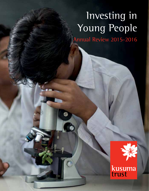# Investing in Young People

Annual Review 2015-2016



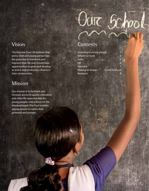### Vision

The Kusuma Trust UK believes that every child and young person has the potential to transform and improve their life and should have opportunities to grow and develop as active and productive citizens in their communities.

### Mission

Our mission is to facilitate and increase access to quality education and other life opportunities for young people, with a focus on the disadvantaged. The Trust enables young people to realise their potential and prosper.

### **Contents**

| Investing in young people |                 |  |
|---------------------------|-----------------|--|
| Where we work             | 4               |  |
| India                     | 5               |  |
| UK.                       |                 |  |
| Gibraltar                 |                 |  |
| Making an impact          | centre fold-out |  |
| Research                  | 8               |  |
|                           |                 |  |

Our School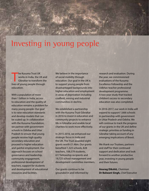### Investing in young people

The Kusuma Trust UK<br>
works in India, the UK an<br>
Gibraltar to transform the<br>
lives of young people through he Kusuma Trust UK works in India, the UK and Gibraltar to transform the education.

With a population of more than 1 billion in India, access to education and the quality of education remains a problem for many young people. Our goal is to raise education standards and develop models that can be scaled up. In collaboration with the Kusuma Foundation, we partner with government schools in Odisha and Uttar Pradesh to ensure that young people receive high quality secondary education and proceed to higher education and gainful employment. Our approach focuses on school governance and leadership, community engagement, professional development of teachers, support for students and development of educational resources and facilities.

We believe in the importance of social mobility through education. Our goal in the UK is to support young people from disadvantaged backgrounds into higher education and employment in areas of deprivation including coalfield, mining and industrial communities in decline.

We established a partnership with the Kusuma Trust Gibraltar in 2016 to invest in education and community projects to enhance life in Gibraltar and enable local charities to work more effectively.

In 2015-2016, we enhanced our strategic focus in India and the UK. The Trust awarded eight grants worth £1.46m. Our grants benefited 1,323 schools, 828 teachers, 108,579 students, 617 fellowship recipients and 19,725 school management and development committee members.

Our grants continue to be grounded in and informed by

research and evaluation. During the year, we commissioned evaluations of the Kusuma Excellence Fellowship and the Udbhav teacher professional development programme. A two-year study that tracked children's access to secondary education was also completed.

In 2016-2017, our work in India will expand to support 1,666 schools in partnership with government in Uttar Pradesh and Odisha. We will continue to track the progress of our grants in the UK and define strategic priorities or funding in Gibraltar taking account of any emerging implications of Brexit.

We thank our Trustees, partners and staff for their continued support and dedication and look forward to another productive year, investing in young people and their futures.

**Anurag Dikshit,** *Chairman* **Dr Balwant Singh,** *Chief Executive*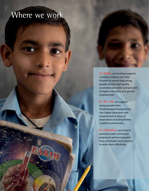## Where we work

4

**In India**, our funding supports schools in Odisha and Uttar Pradesh to ensure that young people receive high quality secondary education and proceed to higher education and gainful employment.

**In the UK**, we support young people from disadvantaged backgrounds into higher education and employment in areas of deprivation including former coalfield communities.

**In Gibraltar**, we invest in education and community projects to enhance people's lives and enable local charities to work more effectively.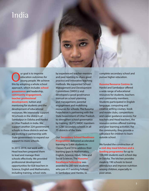### India

Our goal is to improve<br>
young people. We achieve administration of the school of the school of the school of the school of the school of the school of the school of the school of the school of the school of the school of t education outcomes for young people. We achieve this by adopting a whole school approach, which includes **school governance** and leadership, **community engagement**, **teacher professional** 

**development**, tuition and mentoring for students and the development of educational resources. We intensively support 50 schools in the districts of Sambalpur in Odisha and Hardoi in Uttar Pradesh in India. We support another 224 government schools in these districts and we are working in partnership with State governments to expand our support to more schools.

In 2015-2016, our work with Head teachers prepared them to lead and manage their schools effectively. We provided professional development opportunities for 828 teachers in Science, English and Mathematics, including training, school visits

by experienced teacher-mentors and peer learning to share good practice and innovative teaching methods. We supported School Management and Development Committees (SMDCs) and developed a good governance manual on school planning and management, parental engagement and mobilising resources for schools. The Kusuma Foundation is partnering with the State Government of Uttar Pradesh to strengthen school governance by training 19,275 SMDC members in 1,285 secondary schools in all 75 districts of the State.

Our **Secondary School Readiness Programme** delivered accelerated learning to 5,466 students in Classes 9 and 10 to address their learning gaps in Mathematics, English, Science, Hindi, Odia and Social Sciences. The **Kusuma Excellence Fellowship** was awarded to 200 new students who join 417 existing Fellows in Sambalpur and Hardoi, to

complete secondary school and pursue higher education.

**Kusuma Resource Centres** in

Hardoi and Sambalpur offered a wide range of educational resources for students, teachers and community members. Students participated in English language, computing and creative writing courses, book and movie clubs, competitions and career guidance sessions. For teachers and Head teachers, the resource centres offered training and peer learning activities. For the community, they provide a safe place for children to learn outside school.

We funded the construction of a **mid-day meal kitchen and a feeding programme** for up to 100,000 students each school day in Odisha. The kitchen provides meals in 190 schools to boost attendance and improve nutrition among children, especially in poor areas.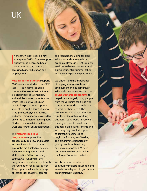## UK

In the UK, we developed a new<br>strategy for 2015-2018 to supp<br>bright young people to boost<br>their aspirations and increase n the UK, we developed a new strategy for 2015-2018 to support their aspirations and increase access to higher education and employment.

**Kusuma Sutton Scholars** supports 600 State school students pre-GCSE (age 11-16) in former coalfield communities to ensure that there is a bigger pool of talented low and middle-income students from which leading universities can recruit. The programme supports students through a series of school visits, project days, campus visits and academic guidance provided by university community learning hubs. Students receive advice on their GCSE and further education options.

#### The **Pathways to STEM**

**programme** supports 300 academically able low and middleincome State school students to access the most selective Science, Technology, Engineering and Mathematics (STEM) university courses. Our funding for the programme provides students with the foundation for a STEM career. The programme includes a range of sessions for students, parents

and teachers, including tailored education and careers advice, academic classes in STEM subjects, sessions to develop non-academic skills, a residential summer school and a work experience placement.

We understand the importance of helping young people into employment and building their skills and confidence. We fund the **Young Upstarts programme** to help disadvantaged young people from the Yorkshire coalfields who have a business idea or ambition to work for themselves. The programme encourages them to turn their ideas into a working business. Young Upstarts receive training on how to develop a business plan, business mentoring and on-going practical support to start their business and begin the first stages of trading. The programme supported 94 young people with training and accreditation and 24 new businesses were established in the former Yorkshire coalfields.

We also supported selected community projects in London and awarded small grants to grass roots organisations in England.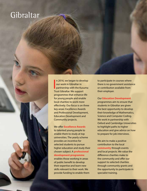### Gibraltar

In 2016, we began to develour work in Gibraltar in<br>partnership with the Kust<br>Trust Gibraltar. We support n 2016, we began to develop our work in Gibraltar in partnership with the Kusuma programmes that enhance life for young people and enable local charities to work more effectively. Our focus is on three key areas: Excellence Awards and Professional Development, Education Development and Community projects.

#### We offer **Excellence Awards**

to talented young people to enable them to study at top universities. The yearly scheme provides an incentive for selected students to pursue higher education and study their chosen subject. A **professional development programme** 

enables those working in areas of public benefit to develop their expertise and learn new skills relevant to their work. We provide funding to enable them to participate in courses where there is no government assistance or contribution available from their employer.

#### Our **Education Development**

programmes aim to ensure that students in Gibraltar are given the best opportunity to develop their knowledge of Mathematics, Science and Computer Coding. We work in partnership with Oxford and Cambridge Universities to highlight paths to higher education and give advice on how to prepare for job interviews.

We aim to make a positive contribution to the local **community** through events and local projects. We value the difference charities make to the community and offer our support to selected charities through community grants and the opportunity to participate in specialist training.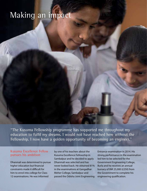### Making an impact

"The Kusuma Fellowship programme has supported me throughout my education to fulfil my dreams. I would not have reached here without the Fellowship. I now have a golden opportunity of becoming an engineer."

#### Kusuma Excellence Fellow pursues his ambition

Dhanmali was determined to pursue higher education but financial constraints made it difficult for him to enrol into college for Class 12 examinations. He was informed

by one of his teachers about the Kusuma Excellence Fellowship in Sambalpur and he decided to apply. Dhanmali was selected and has never looked back. He obtained 81% in the examinations at Gangadhar Meher College, Sambalpur and passed the Odisha Joint Engineering

Entrance examination in 2014. His strong performance in the examination led him to be selected for the Government Engineering College, Burla and he receives an annual bursary of INR 25,000 (£250) from the Government to complete his engineering qualification.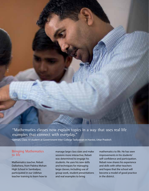

"Mathematics classes now explain topics in a way that uses real life examples that connect with everyday."

Salman, Class 10 student at Government Inter-College Tadiyawan in Hardoi, Uttar Pradesh

#### Bringing Mathematics to life

Mathematics teacher, Rebati Dalbehera, from Pabitra Mohan High School in Sambalpur, participated in our Udbhav teacher training to learn how to manage large class sizes and make sessions more interactive. Rebati was determined to engage his students. He uses his new skills and techniques for managing large classes, including use of group work, student presentations and real examples to bring

mathematics to life. He has seen improvements in his students' self-confidence and participation. Rebati now shares his experience and skills with other teachers and hopes that the school will become a model of good practice in the district.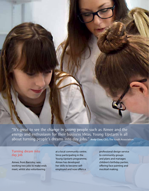

"It's great to see the change in young people such as Aimee and the energy and enthusiasm for their business ideas. Young Upstarts is all about turning people's dreams into day jobs." Andy Clow, CEO, The Youth Association

#### Turning dream into day job

Aimee, from Barnsley, was working two jobs to make ends meet, whilst also volunteering

at a local community centre. Since participating in the Young Upstarts programme, Aimee has developed her skills to become selfemployed and now offers a

professional design service to community groups and plans and manages children's birthday parties, offering face painting and mocktail making.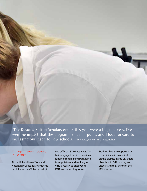

"The Kusuma Sutton Scholars events this year were a huge success. I've seen the impact that the programme has on pupils and I look forward to increasing our reach to new schools." Abi Rowse, University of Nottingham

#### Engaging young people in Science

At the Universities of York and Nottingham, secondary students participated in a 'Science trail' of

five different STEM activities. The trails engaged pupils in sessions ranging from making packaging from potatoes and walking in virtual reality, to discovering DNA and launching rockets.

Students had the opportunity to participate in an exhibition on the 'plastics inside us', create objects with 3-D printing and understand the science of the MRI scanner.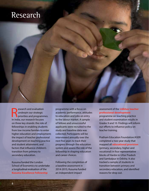### Research

**Exerch and evaluation<br>
underpin our strategic<br>
priorities and programmes.** underpin our strategic In India, our research focuses on three key strands: the role of fellowships in enabling students from low income families to enter higher education and employment; the impact of teacher professional development on teaching practice and student attainment; and factors that influence children's transition from primary to secondary education.

Kusuma funded the London School of Economics to undertake a longitudinal evaluation of the **Kusuma Excellence Fellowship**

programme with a focus on academic performance, attitudes to education and jobs on entry to the labour market. A sample of fellows and unsuccessful applicants were recruited to the study and baseline data was collected. Participants will be interviewed annually over the next five years to track their progress through the education system and assess the role of the fellowship in shaping education and career choices.

Following the completion of a baseline assessment in 2014-2015, Kusuma funded an independent impact

assessment of the **Udbhav teacher professional development** 

programme on teaching practice and student examination results in Grades 9 and 10. Findings will inform our efforts to influence policy on teacher training.

Pratham Education Foundation/ASER completed a two-year study that mapped all **educational provision** (primary, secondary, higher and vocational) in four representative blocks of Hardoi in Uttar Pradesh and Sambalpur in Odisha. It also tracked a sample of students in transition between primary and secondary education, and identified reasons for drop out.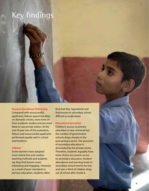## Key findings

#### **Kusuma Excellence Fellowship**

Compared with unsuccessful applicants, fellows spend less time on domestic chores, more time on their academic studies and are more likely to use private tuition. At the end of year one of the evaluation, fellows and unsuccessful applicants performed equally well in school examinations.

#### **Udbhav**

Some teachers have adopted more interactive and creative teaching methods and students say they find lessons more interesting and engaging. However, as a result of poor standards in primary education, students often

find that they 'lag behind' and find lessons in secondary school difficult to understand.

#### **Educational provision**

Children's access to primary education is near universal but the number of government schools drops sharply in the post-primary sector. The provision of secondary education is dominated by the private sector. Therefore, students arguably have more choice but poorer access to secondary education. Student attendance and learning levels in secondary school tend to be low and over a third of children drop out of school after Grade 8.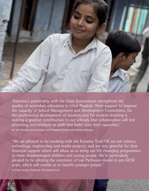

"Kusuma's partnership with the State Government strengthens the quality of secondary education in Uttar Pradesh. Their support to improve the capacity of School Management and Development Committees, for the professional development of teachers and for student learning is making a positive contribution to our schools. Our collaboration will test promising interventions at scale and build state level capacities." Mr. V.K. Pandey, Joint Director, Uttar Pradesh Madhyamik Shiksha Abhiyan

"We are pleased to be working with the Kusuma Trust UK on our science, technology, engineering and maths projects, and are very grateful for their financial support which will allow us to bring our life changing programmes to more disadvantaged children and young people. We're particularly pleased to be piloting the extension of our Pathways model to pre-GCSE years, which will enable us to benefit younger people."

Sir Peter Lampl, Chairman, The Sutton Trust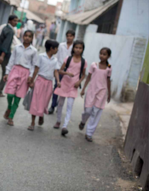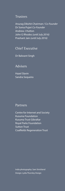#### **Trustees**

Anurag Dikshit *Chairman / Co-Founder*  Dr Soma Pujari *Co-Founder* Andrew J Hutton John G Rhodes *(until July 2016)* Prashant Jain *(until July 2016)*

#### Chief Executive

Dr Balwant Singh

#### Advisers

Hazel Slavin Sandra Sequeira

#### Partners

Centre for Internet and Society Kusuma Foundation Kusuma Trust Gibraltar Royal Parks Foundation Sutton Trust Coalfields Regeneration Trust

India photography: Sam Strickland Design: Lydia Thornley Design